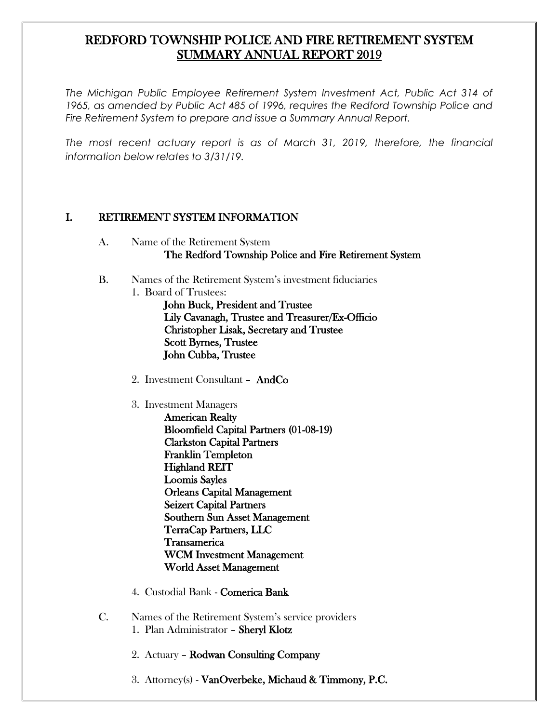# REDFORD TOWNSHIP POLICE AND FIRE RETIREMENT SYSTEM SUMMARY ANNUAL REPORT 2019

*The Michigan Public Employee Retirement System Investment Act, Public Act 314 of 1965, as amended by Public Act 485 of 1996, requires the Redford Township Police and Fire Retirement System to prepare and issue a Summary Annual Report.* 

*The most recent actuary report is as of March 31, 2019, therefore, the financial information below relates to 3/31/19.* 

### I. RETIREMENT SYSTEM INFORMATION

- A. Name of the Retirement System The Redford Township Police and Fire Retirement System
- B. Names of the Retirement System's investment fiduciaries
	- 1. Board of Trustees: John Buck, President and Trustee Lily Cavanagh, Trustee and Treasurer/Ex-Officio Christopher Lisak, Secretary and Trustee Scott Byrnes, Trustee John Cubba, Trustee
		- 2. Investment Consultant AndCo
		- 3. Investment Managers
			- American Realty Bloomfield Capital Partners (01-08-19) Clarkston Capital Partners Franklin Templeton Highland REIT Loomis Sayles Orleans Capital Management Seizert Capital Partners Southern Sun Asset Management TerraCap Partners, LLC Transamerica WCM Investment Management World Asset Management
		- 4. Custodial Bank Comerica Bank
- C. Names of the Retirement System's service providers 1. Plan Administrator – Sheryl Klotz
	- 2. Actuary Rodwan Consulting Company
	- 3. Attorney(s) VanOverbeke, Michaud & Timmony, P.C.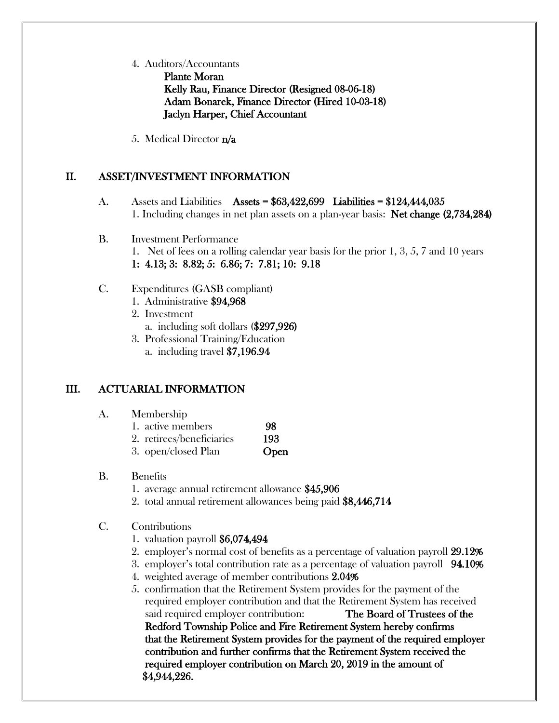4. Auditors/Accountants

Plante Moran Kelly Rau, Finance Director (Resigned 08-06-18) Adam Bonarek, Finance Director (Hired 10-03-18) Jaclyn Harper, Chief Accountant

5. Medical Director n/a

## II. ASSET/INVESTMENT INFORMATION

- A. Assets and Liabilities Assets = \$63,422,699 Liabilities = \$124,444,035 1. Including changes in net plan assets on a plan-year basis: Net change (2,734,284)
- B. Investment Performance 1. Net of fees on a rolling calendar year basis for the prior 1, 3, 5, 7 and 10 years 1: 4.13; 3: 8.82; 5: 6.86; 7: 7.81; 10: 9.18
- C. Expenditures (GASB compliant)
	- 1. Administrative \$94,968
	- 2. Investment
		- a. including soft dollars (\$297,926)
	- 3. Professional Training/Education
		- a. including travel \$7,196.94

## III. ACTUARIAL INFORMATION

- A. Membership
	- 1. active members 98
	- 2. retirees/beneficiaries 193
	- 3. open/closed Plan **Open**
- B. Benefits
	- 1. average annual retirement allowance \$45,906
	- 2. total annual retirement allowances being paid \$8,446,714
- C. Contributions
	- 1. valuation payroll \$6,074,494
	- 2. employer's normal cost of benefits as a percentage of valuation payroll 29.12%
	- 3. employer's total contribution rate as a percentage of valuation payroll 94.10%
	- 4. weighted average of member contributions 2.04%
	- 5. confirmation that the Retirement System provides for the payment of the required employer contribution and that the Retirement System has received said required employer contribution: The Board of Trustees of the Redford Township Police and Fire Retirement System hereby confirms that the Retirement System provides for the payment of the required employer contribution and further confirms that the Retirement System received the required employer contribution on March 20, 2019 in the amount of \$4,944,226.